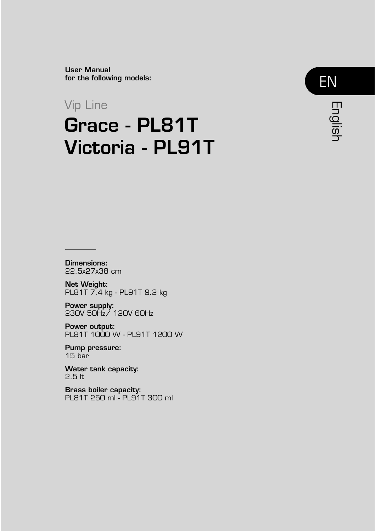User Manual for the following models:

## Vip Line

# Grace - PL81T Victoria - PL91T



Dimensions: 22.5x27x38 cm

Net Weight: PL81T 7.4 kg - PL91T 9.2 kg

Power supply: 230V 50Hz/ 120V 60Hz

Power output: PL81T 1000 W - PL91T 1200 W

Pump pressure: 15 bar

Water tank capacity: 2.5 lt

Brass boiler capacity: PL81T 250 ml - PL91T 300 ml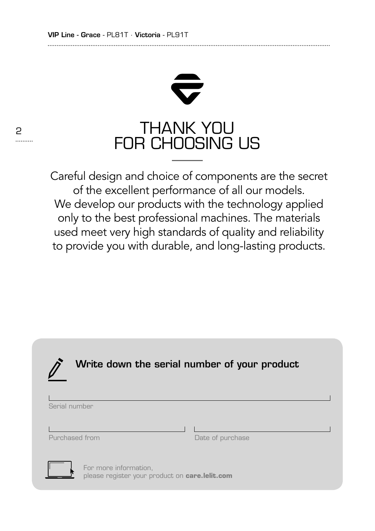2

.........



Careful design and choice of components are the secret of the excellent performance of all our models. We develop our products with the technology applied only to the best professional machines. The materials used meet very high standards of quality and reliability to provide you with durable, and long-lasting products.

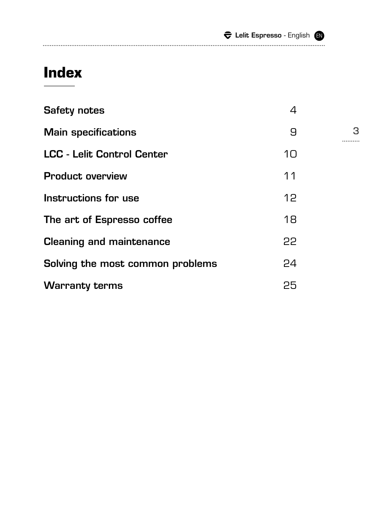|  | $\widehat{\boldsymbol{\nabla}}$ Lelit Espresso - English $\,\blacksquare\,$ |  |
|--|-----------------------------------------------------------------------------|--|
|  |                                                                             |  |

# **Index**

| <b>Safety notes</b>               | 4  |
|-----------------------------------|----|
| <b>Main specifications</b>        | 9  |
| <b>LCC - Lelit Control Center</b> | 10 |
| <b>Product overview</b>           | 11 |
| Instructions for use              | 12 |
| The art of Espresso coffee        | 18 |
| <b>Cleaning and maintenance</b>   | 22 |
| Solving the most common problems  | 24 |
| <b>Warranty terms</b>             | 25 |

3<br>--------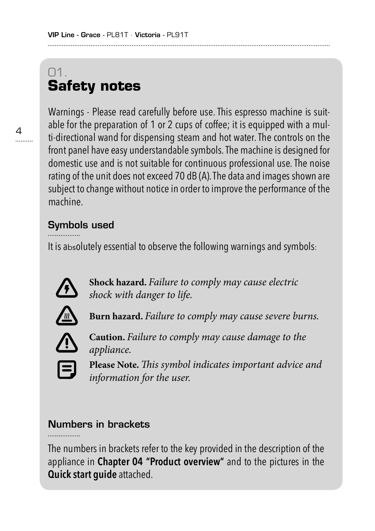# 01. **Safety notes**

 $4$ 

Warnings - Please read carefully before use. This espresso machine is suitable for the preparation of 1 or 2 cups of coffee; it is equipped with a multi-directional wand for dispensing steam and hot water. The controls on the front panel have easy understandable symbols. The machine is designed for domestic use and is not suitable for continuous professional use. The noise rating of the unit does not exceed 70 dB (A). The data and images shown are subject to change without notice in order to improve the performance of the machine.

### Symbols used

It is absolutely essential to observe the following warnings and symbols:



**Shock hazard.** *Failure to comply may cause electric shock with danger to life.*



**Burn hazard.** *Failure to comply may cause severe burns.*



**Caution.** *Failure to comply may cause damage to the appliance.*



**Please Note.***This symbol indicates important advice and information for the user.*

### Numbers in brackets

The numbers in brackets refer to the key provided in the description of the appliance in **Chapter 04 "Product overview"** and to the pictures in the **Quick start guide** attached.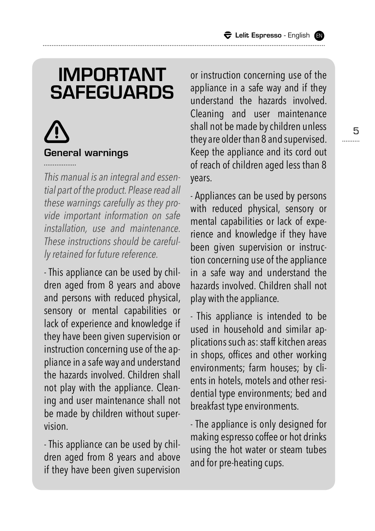# IMPORTANT **SAFEGUARDS**

# General warnings

*This manual is an integral and essential part of the product. Please read all these warnings carefully as they provide important information on safe installation, use and maintenance. These instructions should be carefully retained for future reference.*

- This appliance can be used by children aged from 8 years and above and persons with reduced physical, sensory or mental capabilities or lack of experience and knowledge if they have been given supervision or instruction concerning use of the appliance in a safe way and understand the hazards involved. Children shall not play with the appliance. Cleaning and user maintenance shall not be made by children without supervision.

- This appliance can be used by children aged from 8 years and above if they have been given supervision or instruction concerning use of the appliance in a safe way and if they understand the hazards involved. Cleaning and user maintenance shall not be made by children unless they are older than 8 and supervised. Keep the appliance and its cord out of reach of children aged less than 8 years.

- Appliances can be used by persons with reduced physical, sensory or mental capabilities or lack of experience and knowledge if they have been given supervision or instruction concerning use of the appliance in a safe way and understand the hazards involved. Children shall not play with the appliance.

- This appliance is intended to be used in household and similar applications such as: staff kitchen areas in shops, offices and other working environments; farm houses; by clients in hotels, motels and other residential type environments; bed and breakfast type environments.

- The appliance is only designed for making espresso coffee or hot drinks using the hot water or steam tubes and for pre-heating cups.

5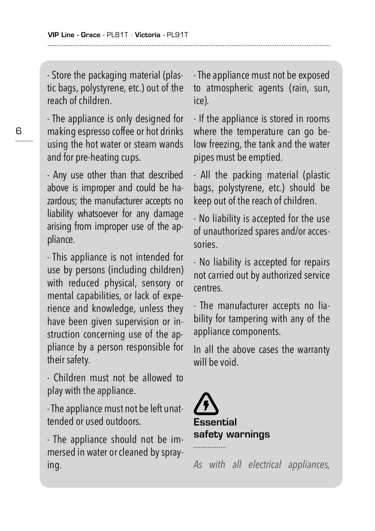- Store the packaging material (plastic bags, polystyrene, etc.) out of the reach of children.

- The appliance is only designed for making espresso coffee or hot drinks using the hot water or steam wands and for pre-heating cups.

- Any use other than that described above is improper and could be hazardous; the manufacturer accepts no liability whatsoever for any damage arising from improper use of the appliance.

- This appliance is not intended for use by persons (including children) with reduced physical, sensory or mental capabilities, or lack of experience and knowledge, unless they have been given supervision or instruction concerning use of the appliance by a person responsible for their safety.

- Children must not be allowed to play with the appliance.

- The appliance must not be left unattended or used outdoors.

- The appliance should not be immersed in water or cleaned by spraying.

- The appliance must not be exposed to atmospheric agents (rain, sun, ice).

- If the appliance is stored in rooms where the temperature can go below freezing, the tank and the water pipes must be emptied.

- All the packing material (plastic bags, polystyrene, etc.) should be keep out of the reach of children.

- No liability is accepted for the use of unauthorized spares and/or accessories.

- No liability is accepted for repairs not carried out by authorized service centres.

- The manufacturer accepts no liability for tampering with any of the appliance components.

In all the above cases the warranty will be void.



*As with all electrical appliances,*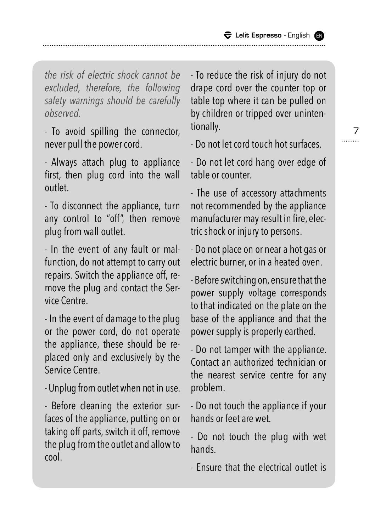*the risk of electric shock cannot be excluded, therefore, the following safety warnings should be carefully observed.*

- To avoid spilling the connector, never pull the power cord.

- Always attach plug to appliance first, then plug cord into the wall outlet.

- To disconnect the appliance, turn any control to "off", then remove plug from wall outlet.

- In the event of any fault or malfunction, do not attempt to carry out repairs. Switch the appliance off, remove the plug and contact the Service Centre.

- In the event of damage to the plug or the power cord, do not operate the appliance, these should be replaced only and exclusively by the Service Centre.

- Unplug from outlet when not in use.

- Before cleaning the exterior surfaces of the appliance, putting on or taking off parts, switch it off, remove the plug from the outlet and allow to cool.

- To reduce the risk of injury do not drape cord over the counter top or table top where it can be pulled on by children or tripped over unintentionally.

- Do not let cord touch hot surfaces.

- Do not let cord hang over edge of table or counter.

- The use of accessory attachments not recommended by the appliance manufacturer may result in fire, electric shock or injury to persons.

- Do not place on or near a hot gas or electric burner, or in a heated oven.

- Before switching on, ensure that the power supply voltage corresponds to that indicated on the plate on the base of the appliance and that the power supply is properly earthed.

- Do not tamper with the appliance. Contact an authorized technician or the nearest service centre for any problem.

- Do not touch the appliance if your hands or feet are wet.

- Do not touch the plug with wet hands.

- Ensure that the electrical outlet is

7 .........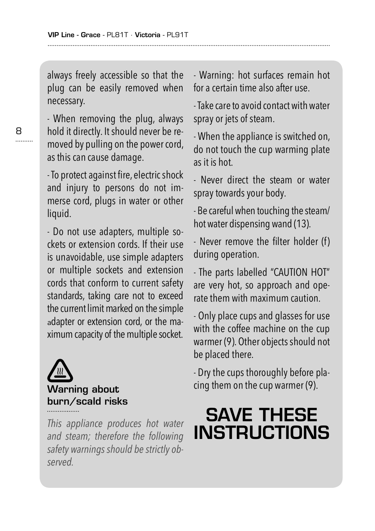always freely accessible so that the plug can be easily removed when necessary.

- When removing the plug, always hold it directly. It should never be removed by pulling on the power cord, as this can cause damage.

- To protect against fire, electric shock and injury to persons do not immerse cord, plugs in water or other liquid.

- Do not use adapters, multiple sockets or extension cords. If their use is unavoidable, use simple adapters or multiple sockets and extension cords that conform to current safety standards, taking care not to exceed the current limit marked on the simple adapter or extension cord, or the maximum capacity of the multiple socket.



*This appliance produces hot water and steam; therefore the following safety warnings should be strictly observed.*

- Warning: hot surfaces remain hot for a certain time also after use.

- Take care to avoid contact with water spray or jets of steam.

- When the appliance is switched on, do not touch the cup warming plate as it is hot.

- Never direct the steam or water spray towards your body.

- Be careful when touching the steam/ hot water dispensing wand (13).

- Never remove the filter holder (f) during operation.

- The parts labelled "CAUTION HOT" are very hot, so approach and operate them with maximum caution.

- Only place cups and glasses for use with the coffee machine on the cup warmer (9). Other objects should not be placed there.

- Dry the cups thoroughly before placing them on the cup warmer (9).

# SAVE THESE **INSTRUCTIONS**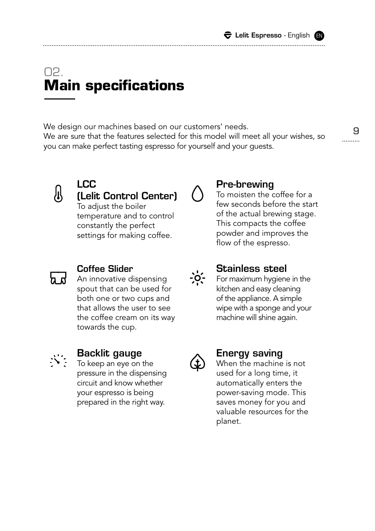. . . . . . . . . .

# 02. **Main specifications**

We design our machines based on our customers' needs. We are sure that the features selected for this model will meet all your wishes, so you can make perfect tasting espresso for yourself and your guests.



### LCC (Lelit Control Center)

To adjust the boiler temperature and to control constantly the perfect settings for making coffee.



### Pre-brewing

To moisten the coffee for a few seconds before the start of the actual brewing stage. This compacts the coffee powder and improves the flow of the espresso.



### Coffee Slider

An innovative dispensing spout that can be used for both one or two cups and that allows the user to see the coffee cream on its way towards the cup.



### Backlit gauge

To keep an eye on the pressure in the dispensing circuit and know whether your espresso is being prepared in the right way.



 $\frac{1}{2}$ 

### Energy saving

Stainless steel For maximum hygiene in the kitchen and easy cleaning of the appliance. A simple wipe with a sponge and your machine will shine again.

When the machine is not used for a long time, it automatically enters the power-saving mode. This saves money for you and valuable resources for the planet.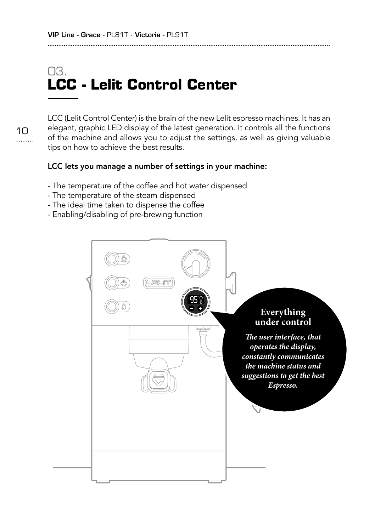# 03. **LCC - Lelit Control Center**

10

LCC (Lelit Control Center) is the brain of the new Lelit espresso machines. It has an elegant, graphic LED display of the latest generation. It controls all the functions of the machine and allows you to adjust the settings, as well as giving valuable tips on how to achieve the best results.

### LCC lets you manage a number of settings in your machine:

- The temperature of the coffee and hot water dispensed
- The temperature of the steam dispensed
- The ideal time taken to dispense the coffee
- Enabling/disabling of pre-brewing function

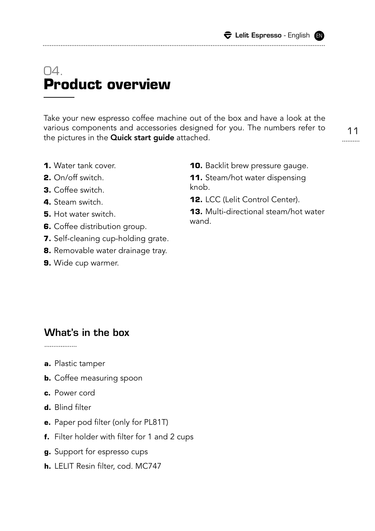# $\cap$ **Product overview**

Take your new espresso coffee machine out of the box and have a look at the various components and accessories designed for you. The numbers refer to the pictures in the **Quick start guide** attached.

- **1.** Water tank cover.
- **2.** On/off switch.
- **3.** Coffee switch.
- **4.** Steam switch.
- **5.** Hot water switch.
- **6.** Coffee distribution group.
- **7.** Self-cleaning cup-holding grate.
- **8.** Removable water drainage tray.
- **9.** Wide cup warmer.

**10.** Backlit brew pressure gauge.

**11.** Steam/hot water dispensing knob.

**12.** LCC (Lelit Control Center).

**13.** Multi-directional steam/hot water wand.

### What's in the box

. . . . . . . . . . . . . . . . .

- **a.** Plastic tamper
- **b.** Coffee measuring spoon
- **c.** Power cord
- **d.** Blind filter
- **e.** Paper pod filter (only for PL81T)
- **f.** Filter holder with filter for 1 and 2 cups
- **g.** Support for espresso cups
- **h.** LELIT Resin filter, cod. MC747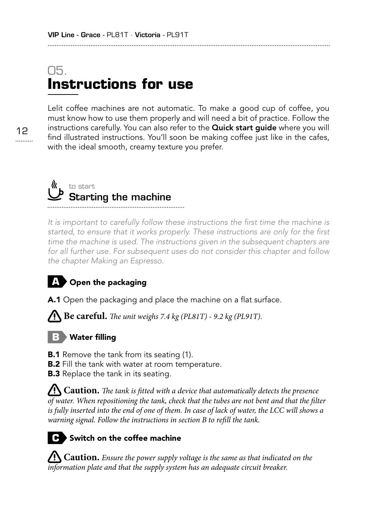# 05. **Instructions for use**

Lelit coffee machines are not automatic. To make a good cup of coffee, you must know how to use them properly and will need a bit of practice. Follow the instructions carefully. You can also refer to the **Quick start quide** where you will find illustrated instructions. You'll soon be making coffee just like in the cafes, with the ideal smooth, creamy texture you prefer.



*It is important to carefully follow these instructions the first time the machine is started, to ensure that it works properly. These instructions are only for the first*  time the machine is used. The instructions given in the subsequent chapters are *for all further use. For subsequent uses do not consider this chapter and follow the chapter Making an Espresso.*

### **A** Open the packaging

A.1 Open the packaging and place the machine on a flat surface.

**Be careful.** The unit weighs 7.4 kg (PL81T) - 9.2 kg (PL91T).

### **B** Water filling

**B.1** Remove the tank from its seating (1).

**B.2** Fill the tank with water at room temperature.

**B.3** Replace the tank in its seating.

 **Caution.** *The tank is fitted with a device that automatically detects the presence of water. When repositioning the tank, check that the tubes are not bent and that the filter is fully inserted into the end of one of them. In case of lack of water, the LCC will shows a warning signal. Follow the instructions in section B to refill the tank.*

### **C** Switch on the coffee machine

 **Caution.** *Ensure the power supply voltage is the same as that indicated on the information plate and that the supply system has an adequate circuit breaker.*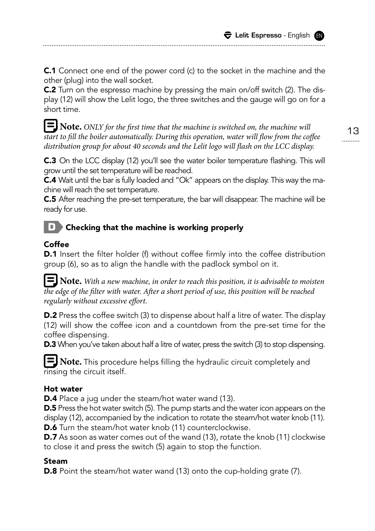**C.1** Connect one end of the power cord (c) to the socket in the machine and the other (plug) into the wall socket.

C.2 Turn on the espresso machine by pressing the main on/off switch (2). The display (12) will show the Lelit logo, the three switches and the gauge will go on for a short time.

 **Note.** *ONLY for the first time that the machine is switched on, the machine will start to fill the boiler automatically. During this operation, water will flow from the coffee distribution group for about 40 seconds and the Lelit logo will flash on the LCC display.*

**C.3** On the LCC display (12) you'll see the water boiler temperature flashing. This will grow until the set temperature will be reached.

C.4 Wait until the bar is fully loaded and "Ok" appears on the display. This way the machine will reach the set temperature.

C.5 After reaching the pre-set temperature, the bar will disappear. The machine will be ready for use.

### **D** Checking that the machine is working properly

### Coffee

**D.1** Insert the filter holder (f) without coffee firmly into the coffee distribution group (6), so as to align the handle with the padlock symbol on it.

 **Note.** *With a new machine, in order to reach this position, it is advisable to moisten the edge of the filter with water. After a short period of use, this position will be reached regularly without excessive effort.*

**D.2** Press the coffee switch (3) to dispense about half a litre of water. The display (12) will show the coffee icon and a countdown from the pre-set time for the coffee dispensing.

**D.3** When you've taken about half a litre of water, press the switch (3) to stop dispensing.

**E** Note. This procedure helps filling the hydraulic circuit completely and rinsing the circuit itself.

### Hot water

**D.4** Place a jug under the steam/hot water wand (13).

**D.5** Press the hot water switch (5). The pump starts and the water icon appears on the display (12), accompanied by the indication to rotate the steam/hot water knob (11). D.6 Turn the steam/hot water knob (11) counterclockwise.

**D.7** As soon as water comes out of the wand (13), rotate the knob (11) clockwise to close it and press the switch (5) again to stop the function.

### Steam

**D.8** Point the steam/hot water wand (13) onto the cup-holding grate (7).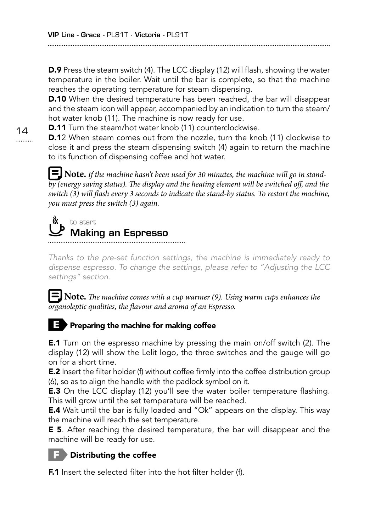D.9 Press the steam switch (4). The LCC display (12) will flash, showing the water temperature in the boiler. Wait until the bar is complete, so that the machine reaches the operating temperature for steam dispensing.

**D.10** When the desired temperature has been reached, the bar will disappear and the steam icon will appear, accompanied by an indication to turn the steam/ hot water knob (11). The machine is now ready for use.

**D.11** Turn the steam/hot water knob (11) counterclockwise.

**D.1**2 When steam comes out from the nozzle, turn the knob (11) clockwise to close it and press the steam dispensing switch (4) again to return the machine to its function of dispensing coffee and hot water.

 **Note.** *If the machine hasn't been used for 30 minutes, the machine will go in standby (energy saving status). The display and the heating element will be switched off, and the switch (3) will flash every 3 seconds to indicate the stand-by status. To restart the machine, you must press the switch (3) again.*

### « to start Making an Espresso

*Thanks to the pre-set function settings, the machine is immediately ready to dispense espresso. To change the settings, please refer to "Adjusting the LCC settings" section.*

 **Note.** *The machine comes with a cup warmer (9). Using warm cups enhances the organoleptic qualities, the flavour and aroma of an Espresso.*

### **Preparing the machine for making coffee**

E.1 Turn on the espresso machine by pressing the main on/off switch (2). The display (12) will show the Lelit logo, the three switches and the gauge will go on for a short time.

**E.2** Insert the filter holder (f) without coffee firmly into the coffee distribution group (6), so as to align the handle with the padlock symbol on it.

**E.3** On the LCC display (12) you'll see the water boiler temperature flashing. This will grow until the set temperature will be reached.

E.4 Wait until the bar is fully loaded and "Ok" appears on the display. This way the machine will reach the set temperature.

**E 5.** After reaching the desired temperature, the bar will disappear and the machine will be ready for use.

### **F** Distributing the coffee

**F.1** Insert the selected filter into the hot filter holder (f).

 $14$ .........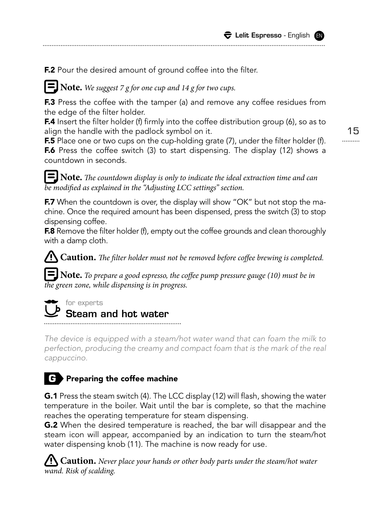F.2 Pour the desired amount of ground coffee into the filter.

 **Note.** *We suggest 7 g for one cup and 14 g for two cups.*

**F.3** Press the coffee with the tamper (a) and remove any coffee residues from the edge of the filter holder.

**F.4** Insert the filter holder (f) firmly into the coffee distribution group (6), so as to align the handle with the padlock symbol on it.

**F.5** Place one or two cups on the cup-holding grate (7), under the filter holder (f). **F.6** Press the coffee switch (3) to start dispensing. The display (12) shows a countdown in seconds.

15 .........

 **Note.** *The countdown display is only to indicate the ideal extraction time and can be modified as explained in the "Adjusting LCC settings" section.*

**F.7** When the countdown is over, the display will show "OK" but not stop the machine. Once the required amount has been dispensed, press the switch (3) to stop dispensing coffee.

F.8 Remove the filter holder (f), empty out the coffee grounds and clean thoroughly with a damp cloth.

 **Caution.** *The filter holder must not be removed before coffee brewing is completed.*

 **Note.** *To prepare a good espresso, the coffee pump pressure gauge (10) must be in the green zone, while dispensing is in progress.*



Steam and hot water

*The device is equipped with a steam/hot water wand that can foam the milk to perfection, producing the creamy and compact foam that is the mark of the real cappuccino.*

### **G** Preparing the coffee machine

G.1 Press the steam switch (4). The LCC display (12) will flash, showing the water temperature in the boiler. Wait until the bar is complete, so that the machine reaches the operating temperature for steam dispensing.

**G.2** When the desired temperature is reached, the bar will disappear and the steam icon will appear, accompanied by an indication to turn the steam/hot water dispensing knob (11). The machine is now ready for use.

 **Caution.** *Never place your hands or other body parts under the steam/hot water wand. Risk of scalding.*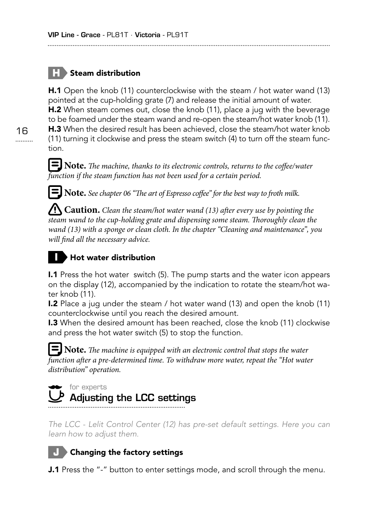### **H** Steam distribution

H.1 Open the knob (11) counterclockwise with the steam / hot water wand (13) pointed at the cup-holding grate (7) and release the initial amount of water. **H.2** When steam comes out, close the knob (11), place a jug with the beverage to be foamed under the steam wand and re-open the steam/hot water knob (11). **H.3** When the desired result has been achieved, close the steam/hot water knob

(11) turning it clockwise and press the steam switch (4) to turn off the steam function.

 **Note.** *The machine, thanks to its electronic controls, returns to the coffee/water function if the steam function has not been used for a certain period.*

 **Note.** *See chapter 06 "The art of Espresso coffee" for the best way to froth milk.*

 **Caution.** *Clean the steam/hot water wand (13) after every use by pointing the steam wand to the cup-holding grate and dispensing some steam. Thoroughly clean the wand (13) with a sponge or clean cloth. In the chapter "Cleaning and maintenance", you will find all the necessary advice.*

### **I** Hot water distribution

I.1 Press the hot water switch (5). The pump starts and the water icon appears on the display (12), accompanied by the indication to rotate the steam/hot water knob (11).

I.2 Place a jug under the steam / hot water wand (13) and open the knob (11) counterclockwise until you reach the desired amount.

I.3 When the desired amount has been reached, close the knob (11) clockwise and press the hot water switch (5) to stop the function.

### **Note.** *The machine is equipped with an electronic control that stops the water function after a pre-determined time. To withdraw more water, repeat the "Hot water distribution" operation.*

**for experts** 

# Adjusting the LCC settings

*The LCC - Lelit Control Center (12) has pre-set default settings. Here you can learn how to adjust them.*



**J.1** Press the "-" button to enter settings mode, and scroll through the menu.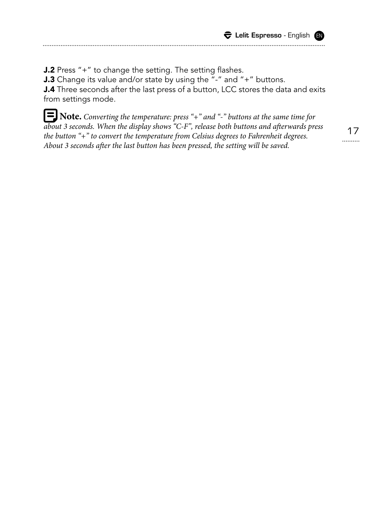J.2 Press "+" to change the setting. The setting flashes. J.3 Change its value and/or state by using the "-" and "+" buttons. J.4 Three seconds after the last press of a button, LCC stores the data and exits from settings mode.

. . . . . . . . . . . . . . . . . . . .

 **Note.** *Converting the temperature: press "+" and "-" buttons at the same time for about 3 seconds. When the display shows "C-F", release both buttons and afterwards press the button "+" to convert the temperature from Celsius degrees to Fahrenheit degrees. About 3 seconds after the last button has been pressed, the setting will be saved.*

17 .........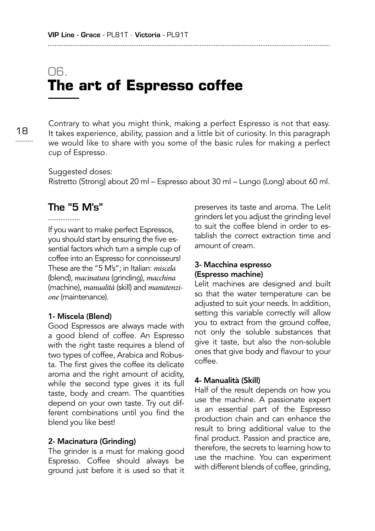# 06. **The art of Espresso coffee**

18 ......... Contrary to what you might think, making a perfect Espresso is not that easy. It takes experience, ability, passion and a little bit of curiosity. In this paragraph we would like to share with you some of the basic rules for making a perfect cup of Espresso.

Suggested doses: Ristretto (Strong) about 20 ml – Espresso about 30 ml – Lungo (Long) about 60 ml.

### The "5 M's"

If you want to make perfect Espressos, you should start by ensuring the five essential factors which turn a simple cup of coffee into an Espresso for connoisseurs! These are the "5 M's"; in Italian: *miscela* (blend), *macinatura* (grinding), *macchina* (machine), *manualità* (skill) and *manutenzione* (maintenance).

### 1- Miscela (Blend)

Good Espressos are always made with a good blend of coffee. An Espresso with the right taste requires a blend of two types of coffee, Arabica and Robusta. The first gives the coffee its delicate aroma and the right amount of acidity, while the second type gives it its full taste, body and cream. The quantities depend on your own taste. Try out different combinations until you find the blend you like best!

### 2- Macinatura (Grinding)

The grinder is a must for making good Espresso. Coffee should always be ground just before it is used so that it preserves its taste and aroma. The Lelit grinders let you adjust the grinding level to suit the coffee blend in order to establish the correct extraction time and amount of cream.

### 3- Macchina espresso (Espresso machine)

Lelit machines are designed and built so that the water temperature can be adjusted to suit your needs. In addition, setting this variable correctly will allow you to extract from the ground coffee, not only the soluble substances that give it taste, but also the non-soluble ones that give body and flavour to your coffee.

### 4- Manualità (Skill)

Half of the result depends on how you use the machine. A passionate expert is an essential part of the Espresso production chain and can enhance the result to bring additional value to the final product. Passion and practice are, therefore, the secrets to learning how to use the machine. You can experiment with different blends of coffee, grinding,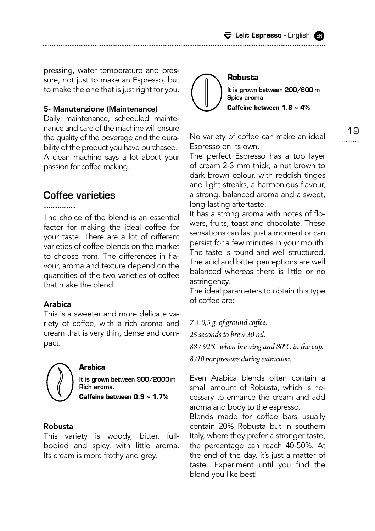pressing, water temperature and pressure, not just to make an Espresso, but to make the one that is just right for you.

### 5- Manutenzione (Maintenance)

Daily maintenance, scheduled maintenance and care of the machine will ensure the quality of the beverage and the durability of the product you have purchased. A clean machine says a lot about your passion for coffee making.

### Coffee varieties

The choice of the blend is an essential factor for making the ideal coffee for your taste. There are a lot of different varieties of coffee blends on the market to choose from. The differences in flavour, aroma and texture depend on the quantities of the two varieties of coffee that make the blend.

### Arabica

This is a sweeter and more delicate variety of coffee, with a rich aroma and cream that is very thin, dense and compact.



### **Arabica**

It is grown between 900/2000m Rich aroma. **Caffeine between 0.9 ~ 1.7%**

### Robusta

This variety is woody, bitter, fullbodied and spicy, with little aroma. Its cream is more frothy and grey.



19

No variety of coffee can make an ideal Espresso on its own.

The perfect Espresso has a top layer of cream 2-3 mm thick, a nut brown to dark brown colour, with reddish tinges and light streaks, a harmonious flavour, a strong, balanced aroma and a sweet, long-lasting aftertaste.

It has a strong aroma with notes of flowers, fruits, toast and chocolate. These sensations can last just a moment or can persist for a few minutes in your mouth. The taste is round and well structured. The acid and bitter perceptions are well balanced whereas there is little or no astringency.

The ideal parameters to obtain this type of coffee are:

*7 ± 0,5 g. of ground coffee.*

*25 seconds to brew 30 ml.* 

blend you like best!

*88 / 92°C when brewing and 80°C in the cup.* 

*8 /10 bar pressure during extraction.*

Even Arabica blends often contain a small amount of Robusta, which is necessary to enhance the cream and add aroma and body to the espresso. Blends made for coffee bars usually contain 20% Robusta but in southern Italy, where they prefer a stronger taste, the percentage can reach 40-50%. At the end of the day, it's just a matter of taste…Experiment until you find the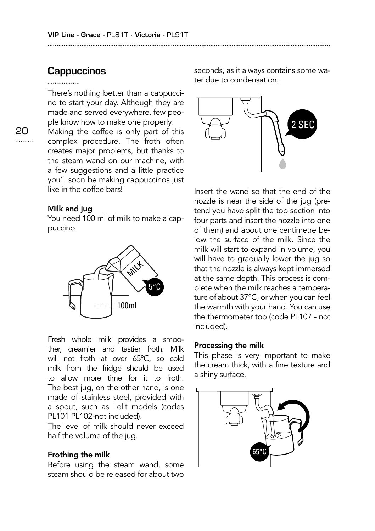### **Cappuccinos**

### ............

There's nothing better than a cappuccino to start your day. Although they are made and served everywhere, few people know how to make one properly.

Making the coffee is only part of this complex procedure. The froth often creates major problems, but thanks to the steam wand on our machine, with a few suggestions and a little practice you'll soon be making cappuccinos just like in the coffee bars!

### Milk and jug

You need 100 ml of milk to make a cappuccino.



Fresh whole milk provides a smoother, creamier and tastier froth. Milk will not froth at over 65°C, so cold milk from the fridge should be used to allow more time for it to froth. The best jug, on the other hand, is one made of stainless steel, provided with a spout, such as Lelit models (codes PL101 PL102-not included).

The level of milk should never exceed half the volume of the jug.

### Frothing the milk

Before using the steam wand, some steam should be released for about two seconds, as it always contains some water due to condensation.



Insert the wand so that the end of the nozzle is near the side of the jug (pretend you have split the top section into four parts and insert the nozzle into one of them) and about one centimetre below the surface of the milk. Since the milk will start to expand in volume, you will have to gradually lower the jug so that the nozzle is always kept immersed at the same depth. This process is complete when the milk reaches a temperature of about 37°C, or when you can feel the warmth with your hand. You can use the thermometer too (code PL107 - not included).

### Processing the milk

This phase is very important to make the cream thick, with a fine texture and a shiny surface.

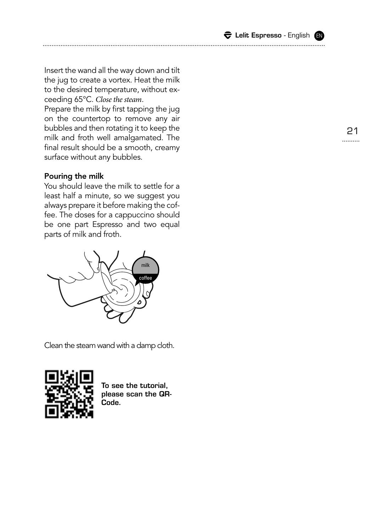$\bigtriangledown$  Lelit Espresso - English  $\bigcirc$ 

Insert the wand all the way down and tilt the jug to create a vortex. Heat the milk to the desired temperature, without ex ceeding 65°C. *Close the steam* .

Prepare the milk by first tapping the jug on the countertop to remove any air bubbles and then rotating it to keep the milk and froth well amalgamated. The final result should be a smooth, creamy surface without any bubbles.

### Pouring the milk

You should leave the milk to settle for a least half a minute, so we suggest you always prepare it before making the coffee. The doses for a cappuccino should be one part Espresso and two equal parts of milk and froth.



Clean the steam wand with a damp cloth.



To see the tutorial, please scan the QR-Code.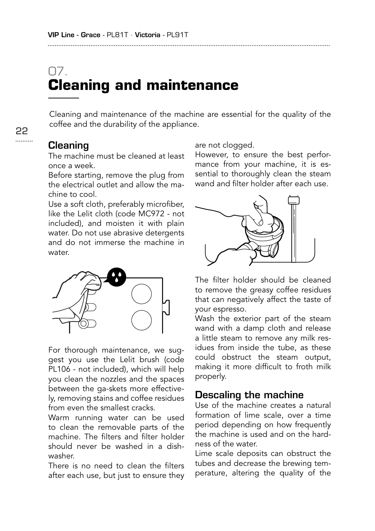# 07. **Cleaning and maintenance**

Cleaning and maintenance of the machine are essential for the quality of the coffee and the durability of the appliance.

### **Cleaning**

The machine must be cleaned at least once a week.

Before starting, remove the plug from the electrical outlet and allow the machine to cool.

Use a soft cloth, preferably microfiber, like the Lelit cloth (code MC972 - not included), and moisten it with plain water. Do not use abrasive detergents and do not immerse the machine in water.



For thorough maintenance, we suggest you use the Lelit brush (code PL106 - not included), which will help you clean the nozzles and the spaces between the ga-skets more effectively, removing stains and coffee residues from even the smallest cracks.

Warm running water can be used to clean the removable parts of the machine. The filters and filter holder should never be washed in a dishwasher.

There is no need to clean the filters after each use, but just to ensure they are not clogged.

However, to ensure the best performance from your machine, it is essential to thoroughly clean the steam wand and filter holder after each use.



The filter holder should be cleaned to remove the greasy coffee residues that can negatively affect the taste of your espresso.

Wash the exterior part of the steam wand with a damp cloth and release a little steam to remove any milk residues from inside the tube, as these could obstruct the steam output, making it more difficult to froth milk properly.

### Descaling the machine

Use of the machine creates a natural formation of lime scale, over a time period depending on how frequently the machine is used and on the hardness of the water.

Lime scale deposits can obstruct the tubes and decrease the brewing temperature, altering the quality of the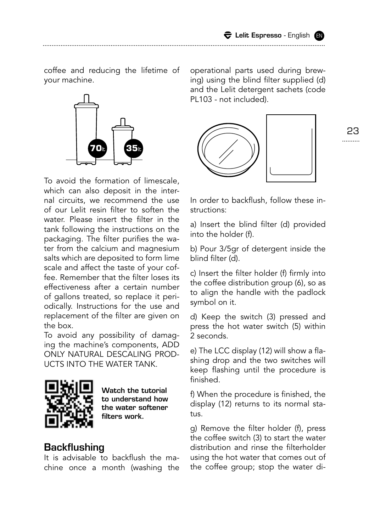coffee and reducing the lifetime of your machine.



To avoid the formation of limescale, which can also deposit in the internal circuits, we recommend the use of our Lelit resin filter to soften the water. Please insert the filter in the tank following the instructions on the packaging. The filter purifies the water from the calcium and magnesium salts which are deposited to form lime scale and affect the taste of your coffee. Remember that the filter loses its effectiveness after a certain number of gallons treated, so replace it periodically. Instructions for the use and replacement of the filter are given on the box.

To avoid any possibility of damaging the machine's components, ADD ONLY NATURAL DESCALING PROD-UCTS INTO THE WATER TANK.



Watch the tutorial to understand how the water softener filters work.

### **Backflushing**

It is advisable to backflush the machine once a month (washing the operational parts used during brewing) using the blind filter supplied (d) and the Lelit detergent sachets (code PL103 - not included).



23<br>--------

In order to backflush, follow these instructions:

a) Insert the blind filter (d) provided into the holder (f).

b) Pour 3/5gr of detergent inside the blind filter (d).

c) Insert the filter holder (f) firmly into the coffee distribution group (6), so as to align the handle with the padlock symbol on it.

d) Keep the switch (3) pressed and press the hot water switch (5) within 2 seconds.

e) The LCC display (12) will show a flashing drop and the two switches will keep flashing until the procedure is finished.

f) When the procedure is finished, the display (12) returns to its normal status.

g) Remove the filter holder (f), press the coffee switch (3) to start the water distribution and rinse the filterholder using the hot water that comes out of the coffee group; stop the water di-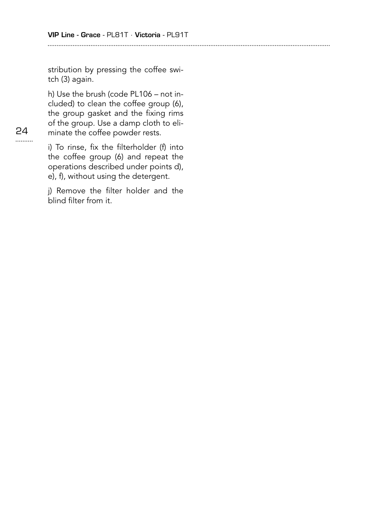stribution by pressing the coffee switch (3) again.

h) Use the brush (code PL106 – not included) to clean the coffee group (6), the group gasket and the fixing rims of the group. Use a damp cloth to eliminate the coffee powder rests.

24 .........

i) To rinse, fix the filterholder (f) into the coffee group (6) and repeat the operations described under points d), e), f), without using the detergent.

j) Remove the filter holder and the blind filter from it.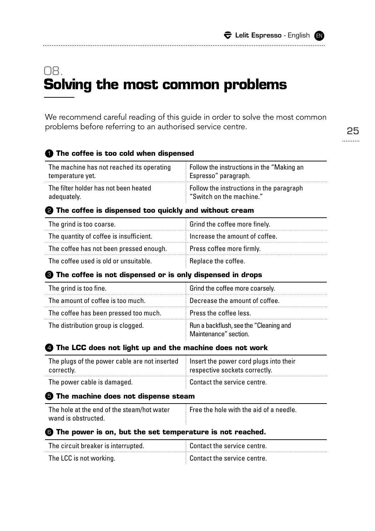# 08. **Solving the most common problems**

We recommend careful reading of this guide in order to solve the most common problems before referring to an authorised service centre.

### **The coffee is too cold when dispensed** 1

| The machine has not reached its operating | $\pm$ Follow the instructions in the "Making an $\pm$ |
|-------------------------------------------|-------------------------------------------------------|
| temperature yet.                          | Espresso" paragraph.                                  |
| The filter holder has not been heated     | Follow the instructions in the paragraph              |
| adequately.                               | "Switch on the machine."                              |

### **The coffee is dispensed too quickly and without cream** 2

| The grind is too coarse.                | Grind the coffee more finely.  |
|-----------------------------------------|--------------------------------|
| The quantity of coffee is insufficient. | Increase the amount of coffee. |
| The coffee has not been pressed enough. | Press coffee more firmly.      |
| The coffee used is old or unsuitable.   | Replace the coffee.            |

### **The coffee is not dispensed or is only dispensed in drops** 3

| The grind is too fine.                | Grind the coffee more coarsely.                                 |
|---------------------------------------|-----------------------------------------------------------------|
| The amount of coffee is too much.     | Decrease the amount of coffee.                                  |
| The coffee has been pressed too much. | Press the coffee less.                                          |
| The distribution group is clogged.    | Run a backflush, see the "Cleaning and<br>Maintenance" section. |

### **The LCC does not light up and the machine does not work** 4

| The plugs of the power cable are not inserted insert the power cord plugs into their |                                   |
|--------------------------------------------------------------------------------------|-----------------------------------|
| correctly.                                                                           | respective sockets correctly.     |
| The power cable is damaged.                                                          | $\pm$ Contact the service centre. |

### **The machine does not dispense steam** 5

| The hole at the end of the steam/hot water | $\blacksquare$ Free the hole with the aid of a needle. |
|--------------------------------------------|--------------------------------------------------------|
| wand is obstructed.                        |                                                        |

### **The power is on, but the set temperature is not reached.** 6

| The circuit breaker is interrupted. | $\pm$ Contact the service centre. |
|-------------------------------------|-----------------------------------|
| The LCC is not working.             | $\pm$ Contact the service centre. |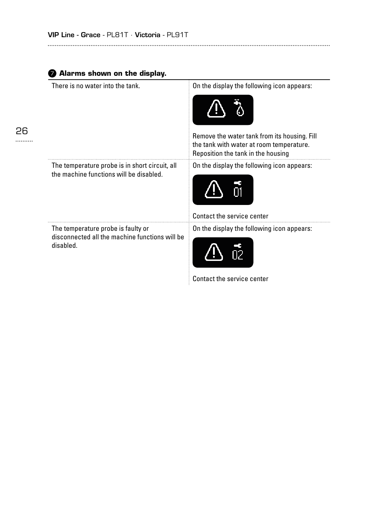| There is no water into the tank.                                                                  | On the display the following icon appears:                                                                                     |
|---------------------------------------------------------------------------------------------------|--------------------------------------------------------------------------------------------------------------------------------|
|                                                                                                   | Remove the water tank from its housing. Fill<br>the tank with water at room temperature.<br>Reposition the tank in the housing |
| The temperature probe is in short circuit, all<br>the machine functions will be disabled.         | On the display the following icon appears:                                                                                     |
|                                                                                                   | Contact the service center                                                                                                     |
| The temperature probe is faulty or<br>disconnected all the machine functions will be<br>disabled. | On the display the following icon appears:                                                                                     |

### Contact the service center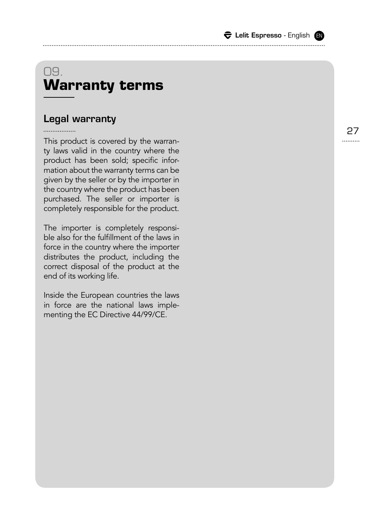|  |  |  | $\widehat{\boldsymbol{\nabla}}$ Lelit Espresso - English (EN |  |  |
|--|--|--|--------------------------------------------------------------|--|--|
|--|--|--|--------------------------------------------------------------|--|--|

# 09. **Warranty terms**

### Legal warranty

This product is covered by the warran ty laws valid in the country where the product has been sold; specific information about the warranty terms can be given by the seller or by the importer in the country where the product has been purchased. The seller or importer is completely responsible for the product.

The importer is completely responsi ble also for the fulfillment of the laws in force in the country where the importer distributes the product, including the correct disposal of the product at the end of its working life.

Inside the European countries the laws in force are the national laws imple menting the EC Directive 44/99/CE.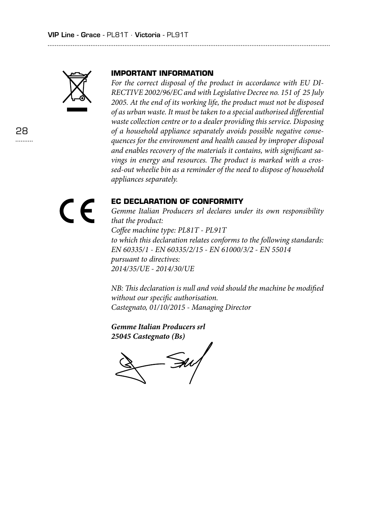

### **IMPORTANT INFORMATION**

*For the correct disposal of the product in accordance with EU DI-RECTIVE 2002/96/EC and with Legislative Decree no. 151 of 25 July 2005. At the end of its working life, the product must not be disposed of as urban waste. It must be taken to a special authorised differential waste collection centre or to a dealer providing this service. Disposing of a household appliance separately avoids possible negative consequences for the environment and health caused by improper disposal and enables recovery of the materials it contains, with significant savings in energy and resources. The product is marked with a crossed-out wheelie bin as a reminder of the need to dispose of household appliances separately.*



### **EC DECLARATION OF CONFORMITY**

*Gemme Italian Producers srl declares under its own responsibility that the product: Coffee machine type: PL81T - PL91T to which this declaration relates conforms to the following standards: EN 60335/1 - EN 60335/2/15 - EN 61000/3/2 - EN 55014 pursuant to directives: 2014/35/UE - 2014/30/UE*

*NB: This declaration is null and void should the machine be modified without our specific authorisation. Castegnato, 01/10/2015 - Managing Director*

*Gemme Italian Producers srl 25045 Castegnato (Bs)*

 $\mathcal{S\!u/$